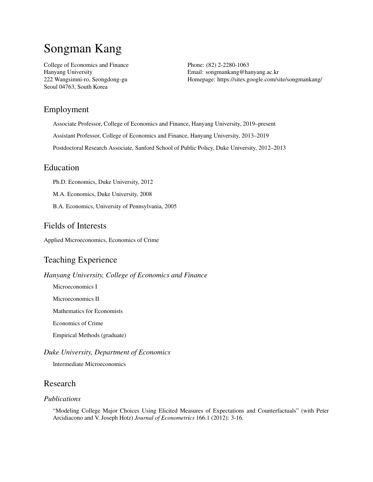# Songman Kang

College of Economics and Finance Hanyang University 222 Wangsimni-ro, Seongdong-gu Seoul 04763, South Korea

Phone: (82) 2-2280-1063 Email: [songmankang@hanyang.ac.kr](mailto:songmankang@hanyang.ac.kr) Homepage: <https://sites.google.com/site/songmankang/>

# Employment

Associate Professor, College of Economics and Finance, Hanyang University, 2019–present

Assistant Professor, College of Economics and Finance, Hanyang University, 2013–2019

Postdoctoral Research Associate, Sanford School of Public Policy, Duke University, 2012–2013

## Education

Ph.D. Economics, Duke University, 2012

M.A. Economics, Duke University, 2008

B.A. Economics, University of Pennsylvania, 2005

## Fields of Interests

Applied Microeconomics, Economics of Crime

# Teaching Experience

*Hanyang University, College of Economics and Finance*

Microeconomics I

Microeconomics II

Mathematics for Economists

Economics of Crime

Empirical Methods (graduate)

#### *Duke University, Department of Economics*

Intermediate Microeconomics

## Research

#### *Publications*

"Modeling College Major Choices Using Elicited Measures of Expectations and Counterfactuals" (with Peter Arcidiacono and V. Joseph Hotz) *Journal of Econometrics* 166.1 (2012): 3-16.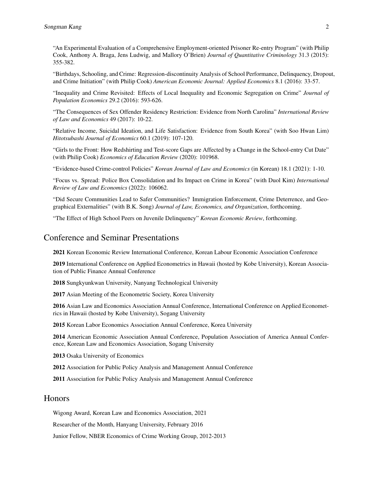"An Experimental Evaluation of a Comprehensive Employment-oriented Prisoner Re-entry Program" (with Philip Cook, Anthony A. Braga, Jens Ludwig, and Mallory O'Brien) *Journal of Quantitative Criminology* 31.3 (2015): 355-382.

"Birthdays, Schooling, and Crime: Regression-discontinuity Analysis of School Performance, Delinquency, Dropout, and Crime Initiation" (with Philip Cook) *American Economic Journal: Applied Economics* 8.1 (2016): 33-57.

"Inequality and Crime Revisited: Effects of Local Inequality and Economic Segregation on Crime" *Journal of Population Economics* 29.2 (2016): 593-626.

"The Consequences of Sex Offender Residency Restriction: Evidence from North Carolina" *International Review of Law and Economics* 49 (2017): 10-22.

"Relative Income, Suicidal Ideation, and Life Satisfaction: Evidence from South Korea" (with Soo Hwan Lim) *Hitotsubashi Journal of Economics* 60.1 (2019): 107-120.

"Girls to the Front: How Redshirting and Test-score Gaps are Affected by a Change in the School-entry Cut Date" (with Philip Cook) *Economics of Education Review* (2020): 101968.

"Evidence-based Crime-control Policies" *Korean Journal of Law and Economics* (in Korean) 18.1 (2021): 1-10.

"Focus vs. Spread: Police Box Consolidation and Its Impact on Crime in Korea" (with Duol Kim) *International Review of Law and Economics* (2022): 106062.

"Did Secure Communities Lead to Safer Communities? Immigration Enforcement, Crime Deterrence, and Geographical Externalities" (with B.K. Song) *Journal of Law, Economics, and Organization*, forthcoming.

"The Effect of High School Peers on Juvenile Delinquency" *Korean Economic Review*, forthcoming.

## Conference and Seminar Presentations

2021 Korean Economic Review International Conference, Korean Labour Economic Association Conference

2019 International Conference on Applied Econometrics in Hawaii (hosted by Kobe University), Korean Association of Public Finance Annual Conference

2018 Sungkyunkwan University, Nanyang Technological University

2017 Asian Meeting of the Econometric Society, Korea University

2016 Asian Law and Economics Association Annual Conference, International Conference on Applied Econometrics in Hawaii (hosted by Kobe University), Sogang University

2015 Korean Labor Economics Association Annual Conference, Korea University

2014 American Economic Association Annual Conference, Population Association of America Annual Conference, Korean Law and Economics Association, Sogang University

2013 Osaka University of Economics

2012 Association for Public Policy Analysis and Management Annual Conference

2011 Association for Public Policy Analysis and Management Annual Conference

#### Honors

Wigong Award, Korean Law and Economics Association, 2021

Researcher of the Month, Hanyang University, February 2016

Junior Fellow, NBER Economics of Crime Working Group, 2012-2013